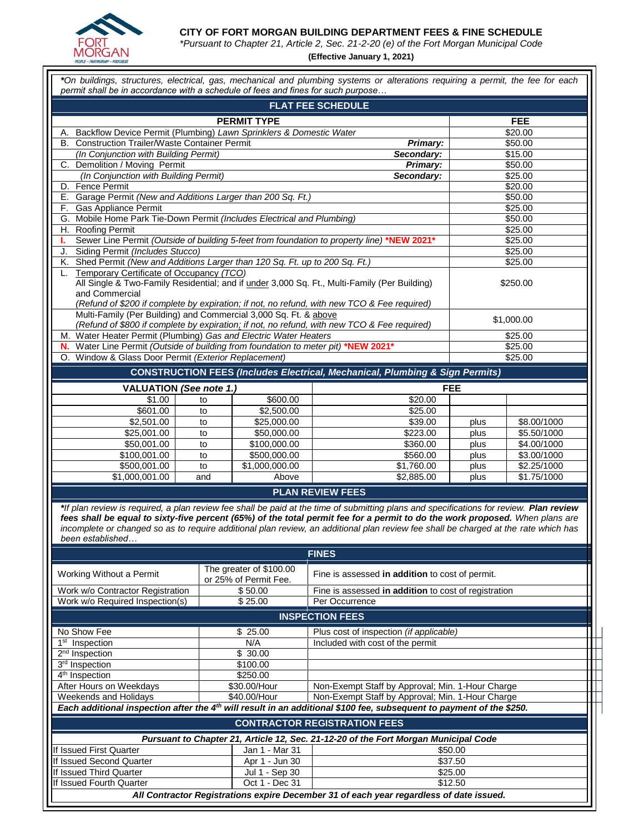

**CITY OF FORT MORGAN BUILDING DEPARTMENT FEES & FINE SCHEDULE**

*\*Pursuant to Chapter 21, Article 2, Sec. 21-2-20 (e) of the Fort Morgan Municipal Code*

**(Effective January 1, 2021)**

|                                                                                                                                                                                                                                                                                                                                                                                                                                    |                    |                                                  | *On buildings, structures, electrical, gas, mechanical and plumbing systems or alterations requiring a permit, the fee for each |              |                            |  |  |  |
|------------------------------------------------------------------------------------------------------------------------------------------------------------------------------------------------------------------------------------------------------------------------------------------------------------------------------------------------------------------------------------------------------------------------------------|--------------------|--------------------------------------------------|---------------------------------------------------------------------------------------------------------------------------------|--------------|----------------------------|--|--|--|
| permit shall be in accordance with a schedule of fees and fines for such purpose                                                                                                                                                                                                                                                                                                                                                   |                    |                                                  | <b>FLAT FEE SCHEDULE</b>                                                                                                        |              |                            |  |  |  |
|                                                                                                                                                                                                                                                                                                                                                                                                                                    |                    | <b>FEE</b>                                       |                                                                                                                                 |              |                            |  |  |  |
| Backflow Device Permit (Plumbing) Lawn Sprinklers & Domestic Water<br>А.                                                                                                                                                                                                                                                                                                                                                           | \$20.00            |                                                  |                                                                                                                                 |              |                            |  |  |  |
| <b>Construction Trailer/Waste Container Permit</b><br>В.                                                                                                                                                                                                                                                                                                                                                                           | \$50.00            |                                                  |                                                                                                                                 |              |                            |  |  |  |
| (In Conjunction with Building Permit)                                                                                                                                                                                                                                                                                                                                                                                              | \$15.00            |                                                  |                                                                                                                                 |              |                            |  |  |  |
| Demolition / Moving Permit<br>C.                                                                                                                                                                                                                                                                                                                                                                                                   |                    |                                                  | Primary:                                                                                                                        | \$50.00      |                            |  |  |  |
| (In Conjunction with Building Permit)                                                                                                                                                                                                                                                                                                                                                                                              |                    |                                                  | Secondary:                                                                                                                      | \$25.00      |                            |  |  |  |
| Fence Permit<br>D.                                                                                                                                                                                                                                                                                                                                                                                                                 |                    |                                                  |                                                                                                                                 | \$20.00      |                            |  |  |  |
| Garage Permit (New and Additions Larger than 200 Sq. Ft.)<br>Е.                                                                                                                                                                                                                                                                                                                                                                    |                    | \$50.00                                          |                                                                                                                                 |              |                            |  |  |  |
| Gas Appliance Permit<br>F.                                                                                                                                                                                                                                                                                                                                                                                                         |                    | \$25.00                                          |                                                                                                                                 |              |                            |  |  |  |
| Mobile Home Park Tie-Down Permit (Includes Electrical and Plumbing)<br>G.                                                                                                                                                                                                                                                                                                                                                          |                    | \$50.00                                          |                                                                                                                                 |              |                            |  |  |  |
| H. Roofing Permit                                                                                                                                                                                                                                                                                                                                                                                                                  | \$25.00<br>\$25.00 |                                                  |                                                                                                                                 |              |                            |  |  |  |
| Sewer Line Permit (Outside of building 5-feet from foundation to property line) *NEW 2021*<br>т.<br>Siding Permit (Includes Stucco)                                                                                                                                                                                                                                                                                                | \$25.00            |                                                  |                                                                                                                                 |              |                            |  |  |  |
| J.<br>Shed Permit (New and Additions Larger than 120 Sq. Ft. up to 200 Sq. Ft.)<br>Κ.                                                                                                                                                                                                                                                                                                                                              |                    |                                                  |                                                                                                                                 | \$25.00      |                            |  |  |  |
| Temporary Certificate of Occupancy (TCO)<br>L.                                                                                                                                                                                                                                                                                                                                                                                     |                    |                                                  |                                                                                                                                 |              |                            |  |  |  |
| All Single & Two-Family Residential; and if under 3,000 Sq. Ft., Multi-Family (Per Building)<br>and Commercial<br>(Refund of \$200 if complete by expiration; if not, no refund, with new TCO & Fee required)                                                                                                                                                                                                                      | \$250.00           |                                                  |                                                                                                                                 |              |                            |  |  |  |
| Multi-Family (Per Building) and Commercial 3,000 Sq. Ft. & above                                                                                                                                                                                                                                                                                                                                                                   |                    |                                                  |                                                                                                                                 | \$1,000.00   |                            |  |  |  |
|                                                                                                                                                                                                                                                                                                                                                                                                                                    |                    |                                                  | (Refund of \$800 if complete by expiration; if not, no refund, with new TCO & Fee required)                                     |              |                            |  |  |  |
| M. Water Heater Permit (Plumbing) Gas and Electric Water Heaters                                                                                                                                                                                                                                                                                                                                                                   |                    |                                                  |                                                                                                                                 |              | \$25.00                    |  |  |  |
| Water Line Permit (Outside of building from foundation to meter pit) *NEW 2021*<br>N.<br>Window & Glass Door Permit (Exterior Replacement)                                                                                                                                                                                                                                                                                         |                    |                                                  |                                                                                                                                 | \$25.00      |                            |  |  |  |
| O.                                                                                                                                                                                                                                                                                                                                                                                                                                 |                    |                                                  |                                                                                                                                 |              | \$25.00                    |  |  |  |
|                                                                                                                                                                                                                                                                                                                                                                                                                                    |                    |                                                  | <b>CONSTRUCTION FEES (Includes Electrical, Mechanical, Plumbing &amp; Sign Permits)</b>                                         |              |                            |  |  |  |
| <b>VALUATION (See note 1.)</b>                                                                                                                                                                                                                                                                                                                                                                                                     |                    |                                                  |                                                                                                                                 | <b>FEE</b>   |                            |  |  |  |
| \$1.00                                                                                                                                                                                                                                                                                                                                                                                                                             | to                 | \$600.00                                         | \$20.00                                                                                                                         |              |                            |  |  |  |
| \$601.00                                                                                                                                                                                                                                                                                                                                                                                                                           | to                 | \$2,500.00                                       | \$25.00                                                                                                                         |              |                            |  |  |  |
| \$2,501.00                                                                                                                                                                                                                                                                                                                                                                                                                         | to                 | \$25,000.00                                      | \$39.00                                                                                                                         | plus         | \$8.00/1000                |  |  |  |
| \$25,001.00                                                                                                                                                                                                                                                                                                                                                                                                                        | to                 | \$50,000.00                                      | \$223.00                                                                                                                        | plus         | \$5.50/1000                |  |  |  |
| \$50,001.00<br>\$100,001.00                                                                                                                                                                                                                                                                                                                                                                                                        | to<br>to           | \$100,000.00<br>\$500,000.00                     | \$360.00<br>\$560.00                                                                                                            | plus<br>plus | \$4.00/1000<br>\$3.00/1000 |  |  |  |
| \$500,001.00                                                                                                                                                                                                                                                                                                                                                                                                                       | to                 | \$1,000,000.00                                   | \$1,760.00                                                                                                                      | plus         | \$2.25/1000                |  |  |  |
| \$1,000,001.00                                                                                                                                                                                                                                                                                                                                                                                                                     | and                | Above                                            | \$2,885.00                                                                                                                      | plus         | \$1.75/1000                |  |  |  |
|                                                                                                                                                                                                                                                                                                                                                                                                                                    |                    |                                                  | <b>PLAN REVIEW FEES</b>                                                                                                         |              |                            |  |  |  |
| *If plan review is required, a plan review fee shall be paid at the time of submitting plans and specifications for review. Plan review<br>fees shall be equal to sixty-five percent (65%) of the total permit fee for a permit to do the work proposed. When plans are<br>incomplete or changed so as to require additional plan review, an additional plan review fee shall be charged at the rate which has<br>been established |                    |                                                  |                                                                                                                                 |              |                            |  |  |  |
|                                                                                                                                                                                                                                                                                                                                                                                                                                    |                    |                                                  | <b>FINES</b>                                                                                                                    |              |                            |  |  |  |
| Working Without a Permit                                                                                                                                                                                                                                                                                                                                                                                                           |                    | The greater of \$100.00<br>or 25% of Permit Fee. | Fine is assessed in addition to cost of permit.                                                                                 |              |                            |  |  |  |
| Work w/o Contractor Registration                                                                                                                                                                                                                                                                                                                                                                                                   |                    | \$50.00                                          | Fine is assessed in addition to cost of registration                                                                            |              |                            |  |  |  |
| Work w/o Required Inspection(s)                                                                                                                                                                                                                                                                                                                                                                                                    |                    | \$25.00                                          | Per Occurrence                                                                                                                  |              |                            |  |  |  |
|                                                                                                                                                                                                                                                                                                                                                                                                                                    |                    |                                                  | <b>INSPECTION FEES</b>                                                                                                          |              |                            |  |  |  |
| No Show Fee                                                                                                                                                                                                                                                                                                                                                                                                                        |                    | \$25.00                                          | Plus cost of inspection (if applicable)                                                                                         |              |                            |  |  |  |
| 1 <sup>st</sup> Inspection                                                                                                                                                                                                                                                                                                                                                                                                         |                    | N/A                                              | Included with cost of the permit                                                                                                |              |                            |  |  |  |
| 2 <sup>nd</sup> Inspection                                                                                                                                                                                                                                                                                                                                                                                                         |                    | \$30.00                                          |                                                                                                                                 |              |                            |  |  |  |
| 3rd Inspection                                                                                                                                                                                                                                                                                                                                                                                                                     |                    | \$100.00                                         |                                                                                                                                 |              |                            |  |  |  |
| 4 <sup>th</sup> Inspection                                                                                                                                                                                                                                                                                                                                                                                                         |                    | \$250.00                                         |                                                                                                                                 |              |                            |  |  |  |
| After Hours on Weekdays                                                                                                                                                                                                                                                                                                                                                                                                            |                    | \$30.00/Hour                                     | Non-Exempt Staff by Approval; Min. 1-Hour Charge                                                                                |              |                            |  |  |  |
| Weekends and Holidays<br>\$40.00/Hour<br>Non-Exempt Staff by Approval; Min. 1-Hour Charge<br>Each additional inspection after the 4 <sup>th</sup> will result in an additional \$100 fee, subsequent to payment of the \$250.                                                                                                                                                                                                      |                    |                                                  |                                                                                                                                 |              |                            |  |  |  |
|                                                                                                                                                                                                                                                                                                                                                                                                                                    |                    |                                                  | <b>CONTRACTOR REGISTRATION FEES</b>                                                                                             |              |                            |  |  |  |
|                                                                                                                                                                                                                                                                                                                                                                                                                                    |                    |                                                  | Pursuant to Chapter 21, Article 12, Sec. 21-12-20 of the Fort Morgan Municipal Code                                             |              |                            |  |  |  |
| If Issued First Quarter                                                                                                                                                                                                                                                                                                                                                                                                            |                    | Jan 1 - Mar 31                                   |                                                                                                                                 | \$50.00      |                            |  |  |  |
| If Issued Second Quarter                                                                                                                                                                                                                                                                                                                                                                                                           |                    | Apr 1 - Jun 30                                   | \$37.50                                                                                                                         |              |                            |  |  |  |
| If Issued Third Quarter                                                                                                                                                                                                                                                                                                                                                                                                            |                    | Jul 1 - Sep 30                                   | \$25.00                                                                                                                         |              |                            |  |  |  |
|                                                                                                                                                                                                                                                                                                                                                                                                                                    |                    |                                                  |                                                                                                                                 |              |                            |  |  |  |

*All Contractor Registrations expire December 31 of each year regardless of date issued.*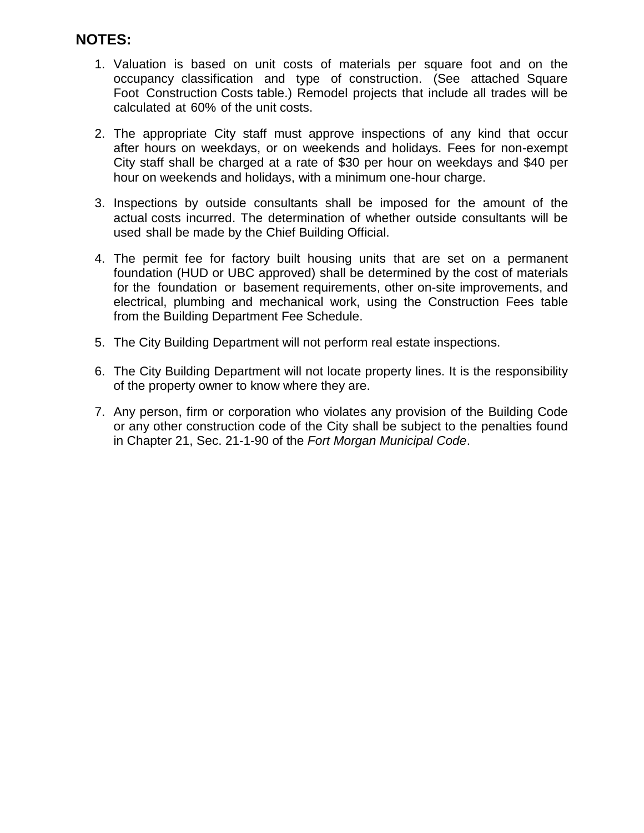## **NOTES:**

- 1. Valuation is based on unit costs of materials per square foot and on the occupancy classification and type of construction. (See attached Square Foot Construction Costs table.) Remodel projects that include all trades will be calculated at 60% of the unit costs.
- 2. The appropriate City staff must approve inspections of any kind that occur after hours on weekdays, or on weekends and holidays. Fees for non-exempt City staff shall be charged at a rate of \$30 per hour on weekdays and \$40 per hour on weekends and holidays, with a minimum one-hour charge.
- 3. Inspections by outside consultants shall be imposed for the amount of the actual costs incurred. The determination of whether outside consultants will be used shall be made by the Chief Building Official.
- 4. The permit fee for factory built housing units that are set on a permanent foundation (HUD or UBC approved) shall be determined by the cost of materials for the foundation or basement requirements, other on-site improvements, and electrical, plumbing and mechanical work, using the Construction Fees table from the Building Department Fee Schedule.
- 5. The City Building Department will not perform real estate inspections.
- 6. The City Building Department will not locate property lines. It is the responsibility of the property owner to know where they are.
- 7. Any person, firm or corporation who violates any provision of the Building Code or any other construction code of the City shall be subject to the penalties found in Chapter 21, Sec. 21-1-90 of the *Fort Morgan Municipal Code*.